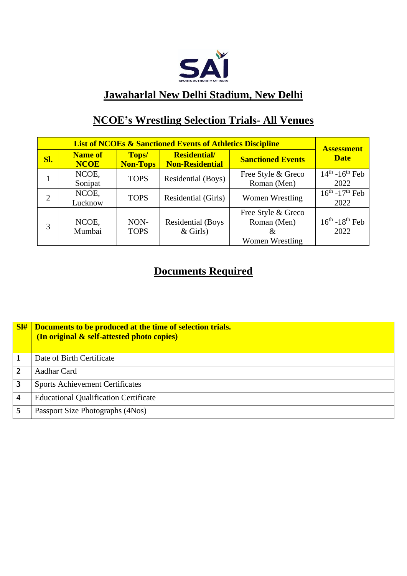

### **Jawaharlal New Delhi Stadium, New Delhi**

# **NCOE's Wrestling Selection Trials- All Venues**

|                | <b>Assessment</b>             |                          |                                               |                          |                                 |
|----------------|-------------------------------|--------------------------|-----------------------------------------------|--------------------------|---------------------------------|
| Sl.            | <b>Name of</b><br><b>NCOE</b> | Tops/<br><b>Non-Tops</b> | <b>Residential/</b><br><b>Non-Residential</b> | <b>Sanctioned Events</b> | <b>Date</b>                     |
|                | NCOE,                         | <b>TOPS</b>              | Residential (Boys)                            | Free Style & Greco       | $14^{th}$ -16 <sup>th</sup> Feb |
|                | Sonipat                       |                          |                                               | Roman (Men)              | 2022                            |
| $\overline{2}$ | NCOE,                         | <b>TOPS</b>              | Residential (Girls)                           | Women Wrestling          | $16^{th}$ -17 <sup>th</sup> Feb |
|                | Lucknow                       |                          |                                               |                          | 2022                            |
| 3              |                               |                          |                                               | Free Style & Greco       |                                 |
|                | NCOE,                         | NON-                     | <b>Residential (Boys</b><br>$&$ Girls)        | Roman (Men)              | $16th - 18th$ Feb               |
|                | Mumbai                        | <b>TOPS</b>              |                                               | 8z                       | 2022                            |
|                |                               |                          |                                               | <b>Women Wrestling</b>   |                                 |

### **Documents Required**

| SI# | Documents to be produced at the time of selection trials.<br>(In original & self-attested photo copies) |
|-----|---------------------------------------------------------------------------------------------------------|
|     | Date of Birth Certificate                                                                               |
|     | Aadhar Card                                                                                             |
| 3   | <b>Sports Achievement Certificates</b>                                                                  |
| 4   | <b>Educational Qualification Certificate</b>                                                            |
|     | Passport Size Photographs (4Nos)                                                                        |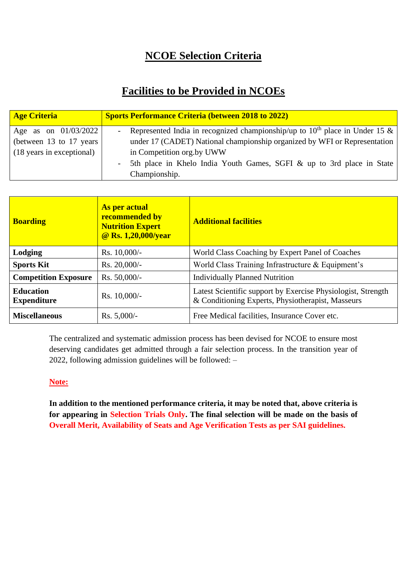#### **NCOE Selection Criteria**

### **Facilities to be Provided in NCOEs**

| <b>Age Criteria</b>       | <b>Sports Performance Criteria (between 2018 to 2022)</b>                     |  |  |
|---------------------------|-------------------------------------------------------------------------------|--|--|
| Age as on $01/03/2022$    | Represented India in recognized championship/up to $10th$ place in Under 15 & |  |  |
| (between 13 to 17 years)  | under 17 (CADET) National championship organized by WFI or Representation     |  |  |
| (18 years in exceptional) | in Competition org.by UWW                                                     |  |  |
|                           | 5th place in Khelo India Youth Games, SGFI & up to 3rd place in State         |  |  |
|                           | Championship.                                                                 |  |  |

| <b>Boarding</b>                        | As per actual<br><b>recommended by</b><br><b>Nutrition Expert</b><br>@ Rs. 1,20,000/year | <b>Additional facilities</b>                                                                                      |  |
|----------------------------------------|------------------------------------------------------------------------------------------|-------------------------------------------------------------------------------------------------------------------|--|
| Lodging                                | Rs. 10,000/-                                                                             | World Class Coaching by Expert Panel of Coaches                                                                   |  |
| <b>Sports Kit</b>                      | $Rs. 20,000/$ -                                                                          | World Class Training Infrastructure & Equipment's                                                                 |  |
| <b>Competition Exposure</b>            | Rs. 50,000/-                                                                             | <b>Individually Planned Nutrition</b>                                                                             |  |
| <b>Education</b><br><b>Expenditure</b> | Rs. $10,000/-$                                                                           | Latest Scientific support by Exercise Physiologist, Strength<br>& Conditioning Experts, Physiotherapist, Masseurs |  |
| <b>Miscellaneous</b>                   | $Rs. 5,000/-$                                                                            | Free Medical facilities, Insurance Cover etc.                                                                     |  |

The centralized and systematic admission process has been devised for NCOE to ensure most deserving candidates get admitted through a fair selection process. In the transition year of 2022, following admission guidelines will be followed: –

#### **Note:**

**In addition to the mentioned performance criteria, it may be noted that, above criteria is for appearing in Selection Trials Only. The final selection will be made on the basis of Overall Merit, Availability of Seats and Age Verification Tests as per SAI guidelines.**